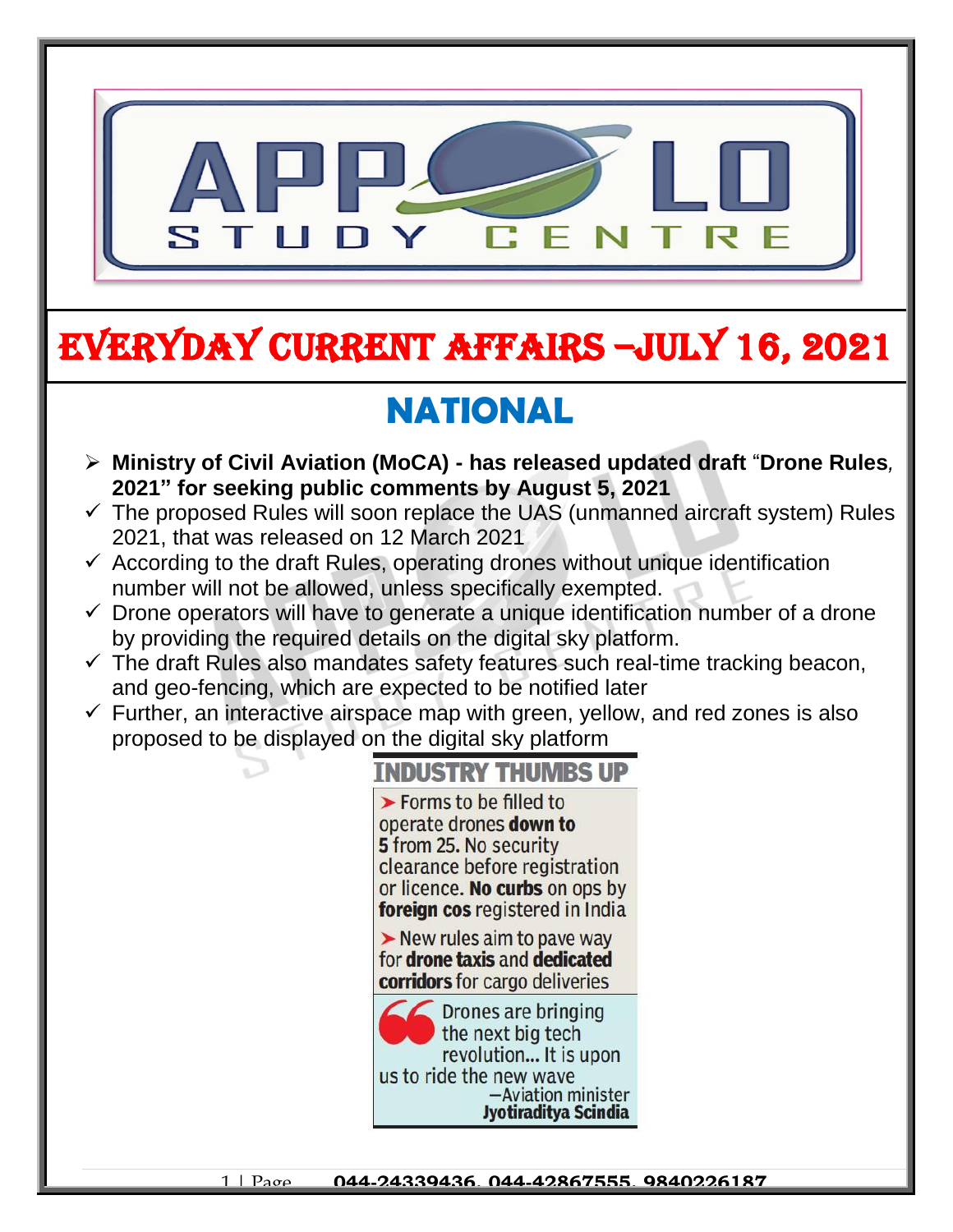

# EVERYDAY CURRENT AFFAIRS –jULY 16, 2021

## **NATIONAL**

-

- **Ministry of Civil Aviation (MoCA) - has released updated draft** "**Drone Rules***,*  **2021" for seeking public comments by August 5, 2021**
- $\checkmark$  The proposed Rules will soon replace the UAS (unmanned aircraft system) Rules 2021, that was released on 12 March 2021
- $\checkmark$  According to the draft Rules, operating drones without unique identification number will not be allowed, unless specifically exempted.
- $\checkmark$  Drone operators will have to generate a unique identification number of a drone by providing the required details on the digital sky platform.
- $\checkmark$  The draft Rules also mandates safety features such real-time tracking beacon, and geo-fencing, which are expected to be notified later
- $\checkmark$  Further, an interactive airspace map with green, yellow, and red zones is also proposed to be displayed on the digital sky platform

#### **TNDUSTRY THUMBS UP**

 $\blacktriangleright$  Forms to be filled to operate drones down to 5 from 25. No security clearance before registration or licence. No curbs on ops by foreign cos registered in India

 $\triangleright$  New rules aim to pave way for drone taxis and dedicated **corridors** for cargo deliveries

Drones are bringing the next big tech revolution... It is upon us to ride the new wave -Aviation minister Jyotiraditya Scindia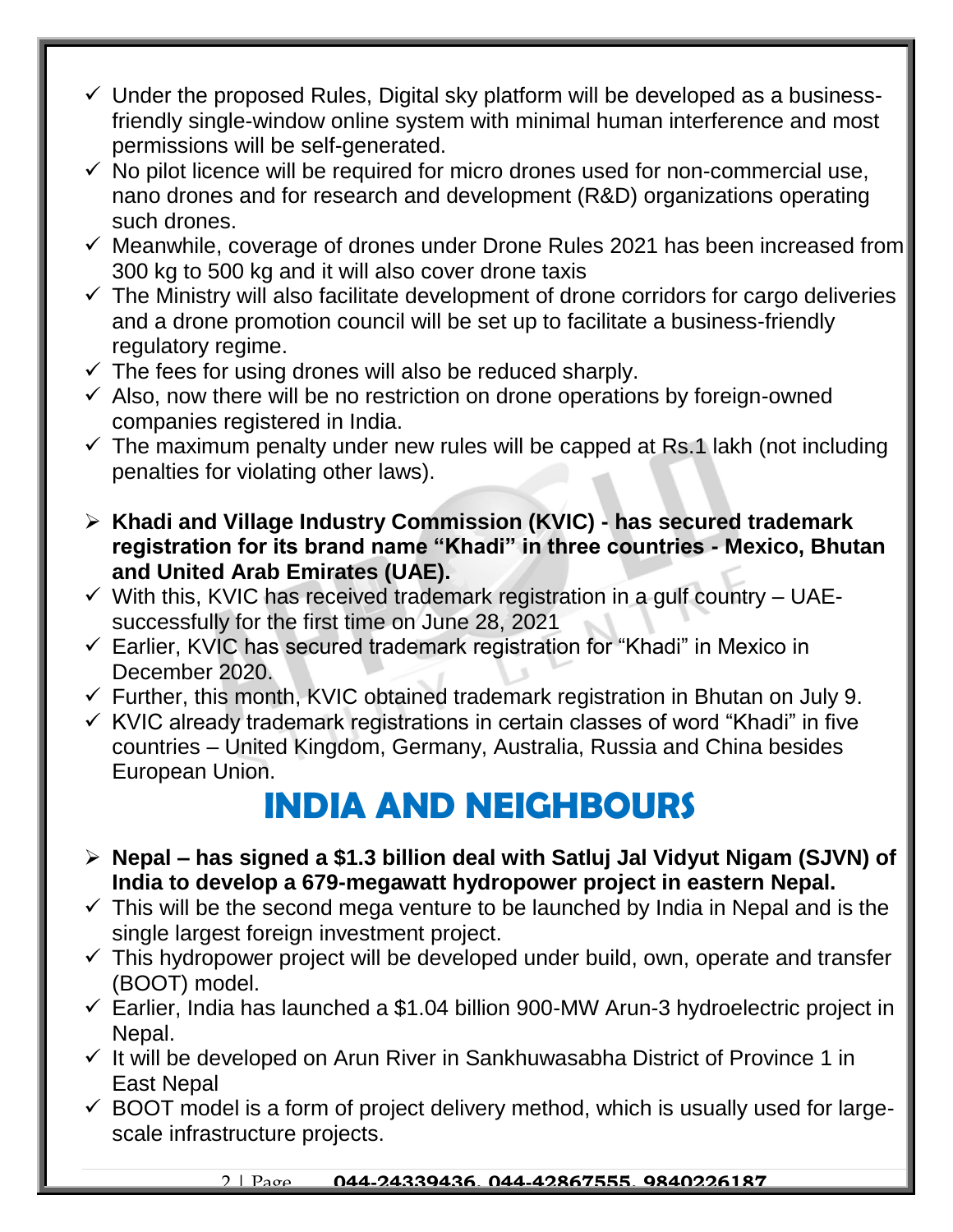- $\checkmark$  Under the proposed Rules, Digital sky platform will be developed as a businessfriendly single-window online system with minimal human interference and most permissions will be self-generated.
- $\checkmark$  No pilot licence will be required for micro drones used for non-commercial use, nano drones and for research and development (R&D) organizations operating such drones.
- $\checkmark$  Meanwhile, coverage of drones under Drone Rules 2021 has been increased from 300 kg to 500 kg and it will also cover drone taxis
- $\checkmark$  The Ministry will also facilitate development of drone corridors for cargo deliveries and a drone promotion council will be set up to facilitate a business-friendly regulatory regime.
- $\checkmark$  The fees for using drones will also be reduced sharply.
- $\checkmark$  Also, now there will be no restriction on drone operations by foreign-owned companies registered in India.
- $\checkmark$  The maximum penalty under new rules will be capped at Rs.1 lakh (not including penalties for violating other laws).
- **Khadi and Village Industry Commission (KVIC) - has secured trademark registration for its brand name "Khadi" in three countries - Mexico, Bhutan and United Arab Emirates (UAE).**
- $\checkmark$  With this, KVIC has received trademark registration in a gulf country UAEsuccessfully for the first time on June 28, 2021
- $\checkmark$  Earlier, KVIC has secured trademark registration for "Khadi" in Mexico in December 2020.
- $\checkmark$  Further, this month, KVIC obtained trademark registration in Bhutan on July 9.
- $\checkmark$  KVIC already trademark registrations in certain classes of word "Khadi" in five countries – United Kingdom, Germany, Australia, Russia and China besides European Union.

### **INDIA AND NEIGHBOURS**

- **Nepal – has signed a \$1.3 billion deal with Satluj Jal Vidyut Nigam (SJVN) of India to develop a 679-megawatt hydropower project in eastern Nepal.**
- $\checkmark$  This will be the second mega venture to be launched by India in Nepal and is the single largest foreign investment project.
- $\checkmark$  This hydropower project will be developed under build, own, operate and transfer (BOOT) model.
- $\checkmark$  Earlier, India has launched a \$1.04 billion 900-MW Arun-3 hydroelectric project in Nepal.
- $\checkmark$  It will be developed on Arun River in Sankhuwasabha District of Province 1 in East Nepal
- $\checkmark$  BOOT model is a form of project delivery method, which is usually used for largescale infrastructure projects.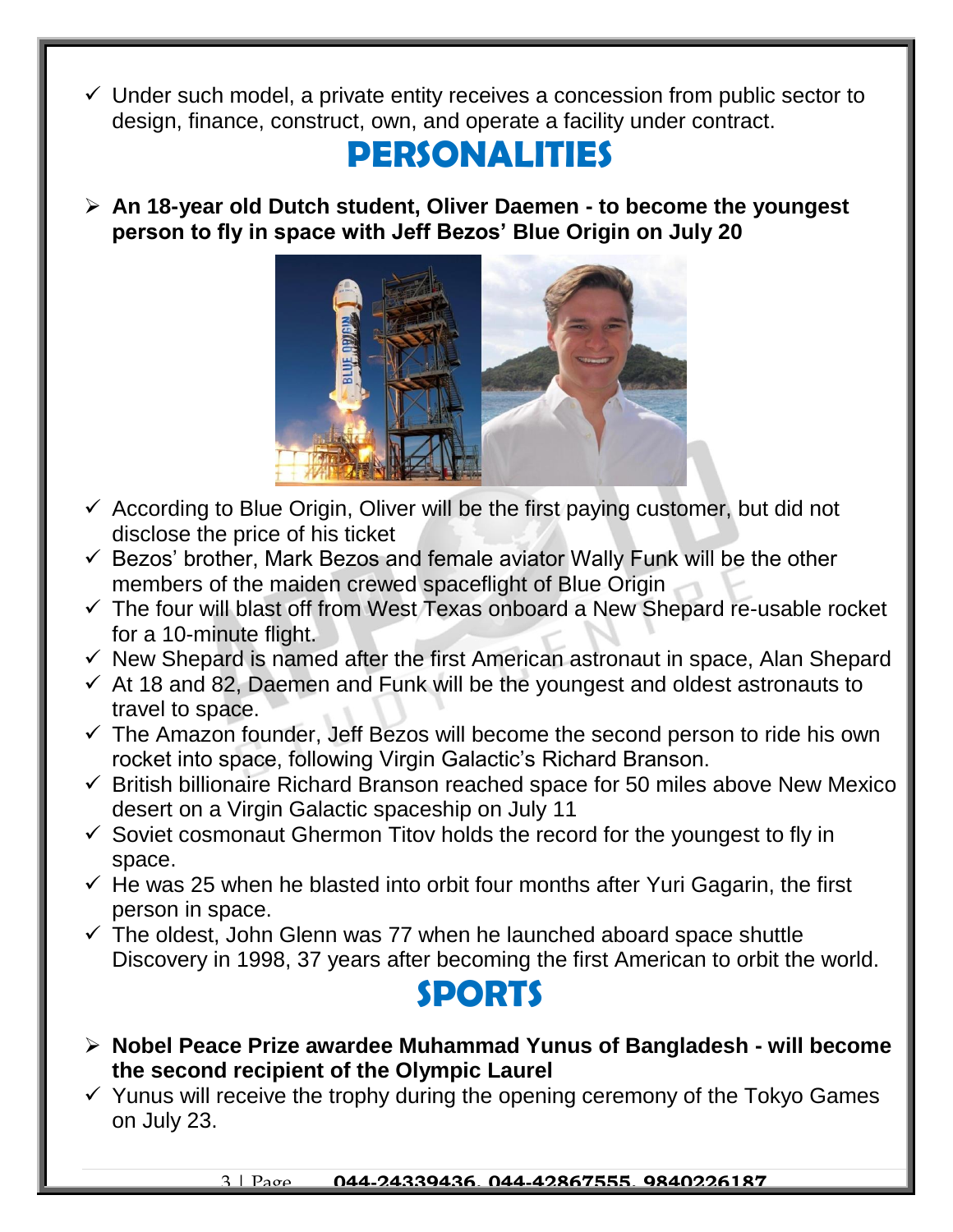$\checkmark$  Under such model, a private entity receives a concession from public sector to design, finance, construct, own, and operate a facility under contract.

### **PERSONALITIES**

 **An 18-year old Dutch student, Oliver Daemen - to become the youngest person to fly in space with Jeff Bezos' Blue Origin on July 20**



- $\checkmark$  According to Blue Origin, Oliver will be the first paying customer, but did not disclose the price of his ticket
- $\checkmark$  Bezos' brother, Mark Bezos and female aviator Wally Funk will be the other members of the maiden crewed spaceflight of Blue Origin
- $\checkmark$  The four will blast off from West Texas onboard a New Shepard re-usable rocket for a 10-minute flight.
- $\checkmark$  New Shepard is named after the first American astronaut in space, Alan Shepard
- $\checkmark$  At 18 and 82, Daemen and Funk will be the youngest and oldest astronauts to travel to space.
- $\checkmark$  The Amazon founder, Jeff Bezos will become the second person to ride his own rocket into space, following Virgin Galactic's Richard Branson.
- $\checkmark$  British billionaire Richard Branson reached space for 50 miles above New Mexico desert on a Virgin Galactic spaceship on July 11
- $\checkmark$  Soviet cosmonaut Ghermon Titov holds the record for the youngest to fly in space.
- $\checkmark$  He was 25 when he blasted into orbit four months after Yuri Gagarin, the first person in space.
- $\checkmark$  The oldest, John Glenn was 77 when he launched aboard space shuttle Discovery in 1998, 37 years after becoming the first American to orbit the world.



- **Nobel Peace Prize awardee Muhammad Yunus of Bangladesh - will become the second recipient of the Olympic Laurel**
- $\checkmark$  Yunus will receive the trophy during the opening ceremony of the Tokyo Games on July 23.